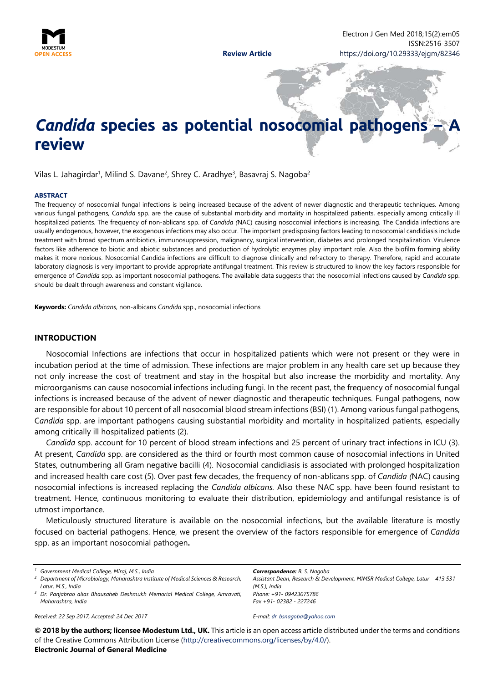

# *Candida* **species as potential nosocomial pathogens review**

Vilas L. Jahagirdar<sup>1</sup>, Milind S. Davane<sup>2</sup>, Shrey C. Aradhye<sup>3</sup>, Basavraj S. Nagoba<sup>2</sup>

#### **ABSTRACT**

The frequency of nosocomial fungal infections is being increased because of the advent of newer diagnostic and therapeutic techniques. Among various fungal pathogens, C*andida* spp. are the cause of substantial morbidity and mortality in hospitalized patients, especially among critically ill hospitalized patients. The frequency of non-ablicans spp. of *Candida (*NAC) causing nosocomial infections is increasing. The Candida infections are usually endogenous, however, the exogenous infections may also occur. The important predisposing factors leading to nosocomial candidiasis include treatment with broad spectrum antibiotics, immunosuppression, malignancy, surgical intervention, diabetes and prolonged hospitalization. Virulence factors like adherence to biotic and abiotic substances and production of hydrolytic enzymes play important role. Also the biofilm forming ability makes it more noxious. Nosocomial Candida infections are difficult to diagnose clinically and refractory to therapy. Therefore, rapid and accurate laboratory diagnosis is very important to provide appropriate antifungal treatment. This review is structured to know the key factors responsible for emergence of *Candida* spp. as important nosocomial pathogens. The available data suggests that the nosocomial infections caused by *Candida* spp. should be dealt through awareness and constant vigilance.

**Keywords:** *Candida albicans*, non-albicans *Candida* spp., nosocomial infections

#### **INTRODUCTION**

Nosocomial Infections are infections that occur in hospitalized patients which were not present or they were in incubation period at the time of admission. These infections are major problem in any health care set up because they not only increase the cost of treatment and stay in the hospital but also increase the morbidity and mortality. Any microorganisms can cause nosocomial infections including fungi. In the recent past, the frequency of nosocomial fungal infections is increased because of the advent of newer diagnostic and therapeutic techniques. Fungal pathogens, now are responsible for about 10 percent of all nosocomial blood stream infections (BSI) (1). Among various fungal pathogens, C*andida* spp. are important pathogens causing substantial morbidity and mortality in hospitalized patients, especially among critically ill hospitalized patients (2).

*Candida* spp. account for 10 percent of blood stream infections and 25 percent of urinary tract infections in ICU (3). At present, *Candida* spp. are considered as the third or fourth most common cause of nosocomial infections in United States, outnumbering all Gram negative bacilli (4). Nosocomial candidiasis is associated with prolonged hospitalization and increased health care cost (5). Over past few decades, the frequency of non-ablicans spp. of *Candida (*NAC) causing nosocomial infections is increased replacing the *Candida albicans.* Also these NAC spp. have been found resistant to treatment. Hence, continuous monitoring to evaluate their distribution, epidemiology and antifungal resistance is of utmost importance.

Meticulously structured literature is available on the nosocomial infections, but the available literature is mostly focused on bacterial pathogens. Hence, we present the overview of the factors responsible for emergence of *Candida*  spp. as an important nosocomial pathogen**.**

*Received: 22 Sep 2017, Accepted: 24 Dec 2017*

*Correspondence: B. S. Nagoba Assistant Dean, Research & Development, MIMSR Medical College, Latur – 413 531 (M.S.), India Phone: +91- 09423075786 Fax +91- 02382 - 227246*

*E-mail: [dr\\_bsnagoba@yahoo.com](mailto:dr_bsnagoba@yahoo.com)*

**© 2018 by the authors; licensee Modestum Ltd., UK.** This article is an open access article distributed under the terms and conditions of the Creative Commons Attribution License [\(http://creativecommons.org/licenses/by/4.0/\)](http://creativecommons.org/licenses/by/4.0/).

#### **Electronic Journal of General Medicine**

*<sup>1</sup> Government Medical College, Miraj, M.S., India*

*<sup>2</sup> Department of Microbiology, Maharashtra Institute of Medical Sciences & Research, Latur, M.S., India*

*<sup>3</sup> Dr. Panjabrao alias Bhausaheb Deshmukh Memorial Medical College, Amravati, Maharashtra, India*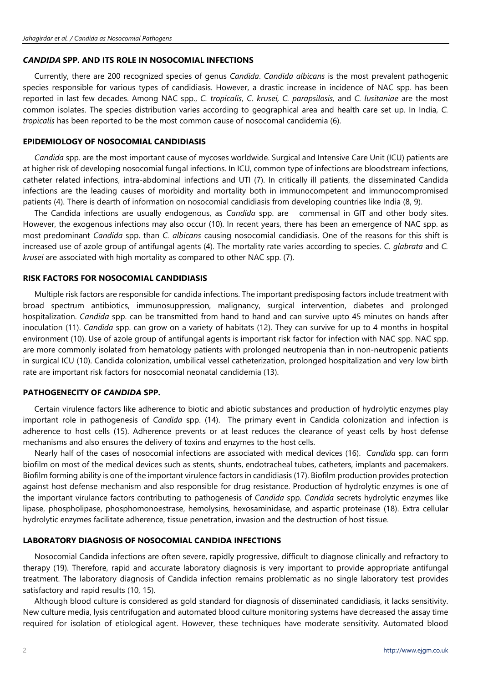## *CANDIDA* **SPP. AND ITS ROLE IN NOSOCOMIAL INFECTIONS**

Currently, there are 200 recognized species of genus *Candida*. *Candida albicans* is the most prevalent pathogenic species responsible for various types of candidiasis. However, a drastic increase in incidence of NAC spp. has been reported in last few decades. Among NAC spp., *C. tropicalis, C. krusei, C. parapsilosis,* and *C. lusitaniae* are the most common isolates. The species distribution varies according to geographical area and health care set up. In India, *C. tropicalis* has been reported to be the most common cause of nosocomal candidemia (6).

#### **EPIDEMIOLOGY OF NOSOCOMIAL CANDIDIASIS**

*Candida* spp. are the most important cause of mycoses worldwide. Surgical and Intensive Care Unit (ICU) patients are at higher risk of developing nosocomial fungal infections. In ICU, common type of infections are bloodstream infections, catheter related infections, intra-abdominal infections and UTI (7). In critically ill patients, the disseminated Candida infections are the leading causes of morbidity and mortality both in immunocompetent and immunocompromised patients (4). There is dearth of information on nosocomial candidiasis from developing countries like India (8, 9).

The Candida infections are usually endogenous, as *Candida* spp. are commensal in GIT and other body sites. However, the exogenous infections may also occur (10). In recent years, there has been an emergence of NAC spp. as most predominant *Candida* spp. than *C. albicans* causing nosocomial candidiasis. One of the reasons for this shift is increased use of azole group of antifungal agents (4). The mortality rate varies according to species. *C. glabrata* and *C. krusei* are associated with high mortality as compared to other NAC spp. (7).

#### **RISK FACTORS FOR NOSOCOMIAL CANDIDIASIS**

Multiple risk factors are responsible for candida infections. The important predisposing factors include treatment with broad spectrum antibiotics, immunosuppression, malignancy, surgical intervention, diabetes and prolonged hospitalization. *Candida* spp. can be transmitted from hand to hand and can survive upto 45 minutes on hands after inoculation (11). *Candida* spp. can grow on a variety of habitats (12). They can survive for up to 4 months in hospital environment (10). Use of azole group of antifungal agents is important risk factor for infection with NAC spp. NAC spp. are more commonly isolated from hematology patients with prolonged neutropenia than in non-neutropenic patients in surgical ICU (10). Candida colonization, umbilical vessel catheterization, prolonged hospitalization and very low birth rate are important risk factors for nosocomial neonatal candidemia (13).

### **PATHOGENECITY OF** *CANDIDA* **SPP.**

Certain virulence factors like adherence to biotic and abiotic substances and production of hydrolytic enzymes play important role in pathogenesis of *Candida* spp. (14).The primary event in Candida colonization and infection is adherence to host cells (15). Adherence prevents or at least reduces the clearance of yeast cells by host defense mechanisms and also ensures the delivery of toxins and enzymes to the host cells.

Nearly half of the cases of nosocomial infections are associated with medical devices (16). *Candida* spp. can form biofilm on most of the medical devices such as stents, shunts, endotracheal tubes, catheters, implants and pacemakers. Biofilm forming ability is one of the important virulence factors in candidiasis (17). Biofilm production provides protection against host defense mechanism and also responsible for drug resistance. Production of hydrolytic enzymes is one of the important virulance factors contributing to pathogenesis of *Candida* spp*. Candida* secrets hydrolytic enzymes like lipase, phospholipase, phosphomonoestrase, hemolysins, hexosaminidase, and aspartic proteinase (18). Extra cellular hydrolytic enzymes facilitate adherence, tissue penetration, invasion and the destruction of host tissue.

### **LABORATORY DIAGNOSIS OF NOSOCOMIAL CANDIDA INFECTIONS**

Nosocomial Candida infections are often severe, rapidly progressive, difficult to diagnose clinically and refractory to therapy (19). Therefore, rapid and accurate laboratory diagnosis is very important to provide appropriate antifungal treatment. The laboratory diagnosis of Candida infection remains problematic as no single laboratory test provides satisfactory and rapid results (10, 15).

Although blood culture is considered as gold standard for diagnosis of disseminated candidiasis, it lacks sensitivity. New culture media, lysis centrifugation and automated blood culture monitoring systems have decreased the assay time required for isolation of etiological agent. However, these techniques have moderate sensitivity. Automated blood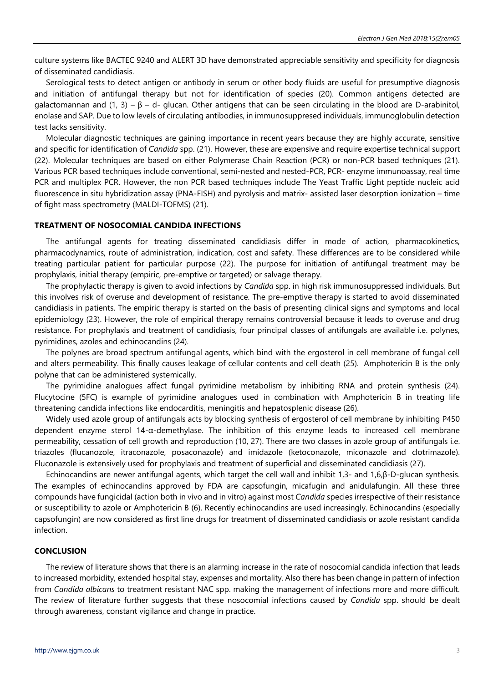culture systems like BACTEC 9240 and ALERT 3D have demonstrated appreciable sensitivity and specificity for diagnosis of disseminated candidiasis.

Serological tests to detect antigen or antibody in serum or other body fluids are useful for presumptive diagnosis and initiation of antifungal therapy but not for identification of species (20). Common antigens detected are galactomannan and (1, 3) – β – d- glucan. Other antigens that can be seen circulating in the blood are D-arabinitol, enolase and SAP. Due to low levels of circulating antibodies, in immunosuppresed individuals, immunoglobulin detection test lacks sensitivity.

Molecular diagnostic techniques are gaining importance in recent years because they are highly accurate, sensitive and specific for identification of *Candida* spp. (21). However, these are expensive and require expertise technical support (22). Molecular techniques are based on either Polymerase Chain Reaction (PCR) or non-PCR based techniques (21). Various PCR based techniques include conventional, semi-nested and nested-PCR, PCR- enzyme immunoassay, real time PCR and multiplex PCR. However, the non PCR based techniques include The Yeast Traffic Light peptide nucleic acid fluorescence in situ hybridization assay (PNA-FISH) and pyrolysis and matrix- assisted laser desorption ionization – time of fight mass spectrometry (MALDI-TOFMS) (21).

## **TREATMENT OF NOSOCOMIAL CANDIDA INFECTIONS**

The antifungal agents for treating disseminated candidiasis differ in mode of action, pharmacokinetics, pharmacodynamics, route of administration, indication, cost and safety. These differences are to be considered while treating particular patient for particular purpose (22). The purpose for initiation of antifungal treatment may be prophylaxis, initial therapy (empiric, pre-emptive or targeted) or salvage therapy.

The prophylactic therapy is given to avoid infections by *Candida* spp. in high risk immunosuppressed individuals. But this involves risk of overuse and development of resistance. The pre-emptive therapy is started to avoid disseminated candidiasis in patients. The empiric therapy is started on the basis of presenting clinical signs and symptoms and local epidemiology (23). However, the role of empirical therapy remains controversial because it leads to overuse and drug resistance. For prophylaxis and treatment of candidiasis, four principal classes of antifungals are available i.e. polynes, pyrimidines, azoles and echinocandins (24).

The polynes are broad spectrum antifungal agents, which bind with the ergosterol in cell membrane of fungal cell and alters permeability. This finally causes leakage of cellular contents and cell death (25). Amphotericin B is the only polyne that can be administered systemically.

The pyrimidine analogues affect fungal pyrimidine metabolism by inhibiting RNA and protein synthesis (24). Flucytocine (5FC) is example of pyrimidine analogues used in combination with Amphotericin B in treating life threatening candida infections like endocarditis, meningitis and hepatosplenic disease (26).

Widely used azole group of antifungals acts by blocking synthesis of ergosterol of cell membrane by inhibiting P450 dependent enzyme sterol 14-α-demethylase. The inhibition of this enzyme leads to increased cell membrane permeability, cessation of cell growth and reproduction (10, 27). There are two classes in azole group of antifungals i.e. triazoles (flucanozole, itraconazole, posaconazole) and imidazole (ketoconazole, miconazole and clotrimazole). Fluconazole is extensively used for prophylaxis and treatment of superficial and disseminated candidiasis (27).

Echinocandins are newer antifungal agents, which target the cell wall and inhibit 1,3- and 1,6,β-D-glucan synthesis. The examples of echinocandins approved by FDA are capsofungin, micafugin and anidulafungin. All these three compounds have fungicidal (action both in vivo and in vitro) against most *Candida* species irrespective of their resistance or susceptibility to azole or Amphotericin B (6). Recently echinocandins are used increasingly. Echinocandins (especially capsofungin) are now considered as first line drugs for treatment of disseminated candidiasis or azole resistant candida infection.

#### **CONCLUSION**

The review of literature shows that there is an alarming increase in the rate of nosocomial candida infection that leads to increased morbidity, extended hospital stay, expenses and mortality. Also there has been change in pattern of infection from *Candida albicans* to treatment resistant NAC spp. making the management of infections more and more difficult. The review of literature further suggests that these nosocomial infections caused by *Candida* spp. should be dealt through awareness, constant vigilance and change in practice.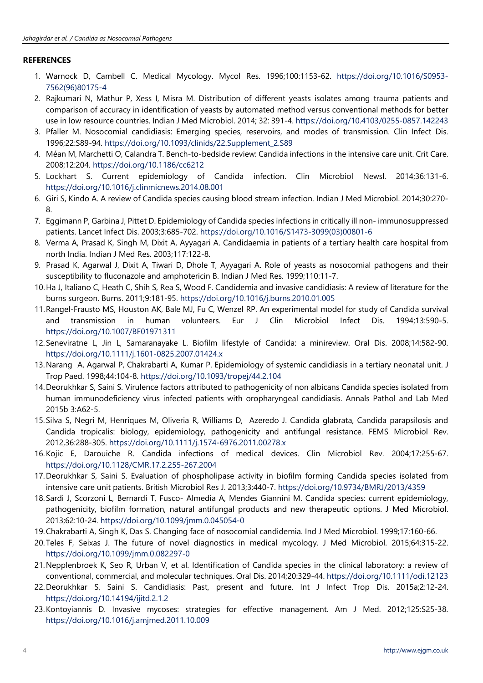# **REFERENCES**

- 1. Warnock D, Cambell C. Medical Mycology. Mycol Res. 1996;100:1153-62. [https://doi.org/10.1016/S0953-](https://doi.org/10.1016/S0953-7562(96)80175-4) [7562\(96\)80175-4](https://doi.org/10.1016/S0953-7562(96)80175-4)
- 2. Rajkumari N, Mathur P, Xess I, Misra M. Distribution of different yeasts isolates among trauma patients and comparison of accuracy in identification of yeasts by automated method versus conventional methods for better use in low resource countries. Indian J Med Microbiol. 2014; 32: 391-4. <https://doi.org/10.4103/0255-0857.142243>
- 3. Pfaller M. Nosocomial candidiasis: Emerging species, reservoirs, and modes of transmission. Clin Infect Dis. 1996;22:S89-94. [https://doi.org/10.1093/clinids/22.Supplement\\_2.S89](https://doi.org/10.1093/clinids/22.Supplement_2.S89)
- 4. Méan M, Marchetti O, Calandra T. Bench-to-bedside review: Candida infections in the intensive care unit. Crit Care. 2008;12:204. <https://doi.org/10.1186/cc6212>
- 5. Lockhart S. Current epidemiology of Candida infection. Clin Microbiol Newsl. 2014;36:131-6. <https://doi.org/10.1016/j.clinmicnews.2014.08.001>
- 6. Giri S, Kindo A. A review of Candida species causing blood stream infection. Indian J Med Microbiol. 2014;30:270- 8.
- 7. Eggimann P, Garbina J, Pittet D. Epidemiology of Candida species infections in critically ill non- immunosuppressed patients. Lancet Infect Dis. 2003;3:685-702. [https://doi.org/10.1016/S1473-3099\(03\)00801-6](https://doi.org/10.1016/S1473-3099(03)00801-6)
- 8. Verma A, Prasad K, Singh M, Dixit A, Ayyagari A. Candidaemia in patients of a tertiary health care hospital from north India. Indian J Med Res. 2003;117:122-8.
- 9. Prasad K, Agarwal J, Dixit A, Tiwari D, Dhole T, Ayyagari A. Role of yeasts as nosocomial pathogens and their susceptibility to fluconazole and amphotericin B. Indian J Med Res. 1999;110:11-7.
- 10.Ha J, Italiano C, Heath C, Shih S, Rea S, Wood F. Candidemia and invasive candidiasis: A review of literature for the burns surgeon. Burns. 2011;9:181-95. <https://doi.org/10.1016/j.burns.2010.01.005>
- 11.Rangel-Frausto MS, Houston AK, Bale MJ, Fu C, Wenzel RP. An experimental model for study of Candida survival and transmission in human volunteers. Eur J Clin Microbiol Infect Dis. 1994;13:590-5. <https://doi.org/10.1007/BF01971311>
- 12.Seneviratne L, Jin L, Samaranayake L. Biofilm lifestyle of Candida: a minireview. Oral Dis. 2008;14:582-90. <https://doi.org/10.1111/j.1601-0825.2007.01424.x>
- 13.Narang A, Agarwal P, Chakrabarti A, Kumar P. Epidemiology of systemic candidiasis in a tertiary neonatal unit. J Trop Paed. 1998;44:104-8. <https://doi.org/10.1093/tropej/44.2.104>
- 14.Deorukhkar S, Saini S. Virulence factors attributed to pathogenicity of non albicans Candida species isolated from human immunodeficiency virus infected patients with oropharyngeal candidiasis. Annals Pathol and Lab Med 2015b 3:A62-5.
- 15.Silva S, Negri M, Henriques M, Oliveria R, Williams D, Azeredo J. Candida glabrata, Candida parapsilosis and Candida tropicalis: biology, epidemiology, pathogenicity and antifungal resistance. FEMS Microbiol Rev. 2012,36:288-305. <https://doi.org/10.1111/j.1574-6976.2011.00278.x>
- 16.Kojic E, Darouiche R. Candida infections of medical devices. Clin Microbiol Rev. 2004;17:255-67. <https://doi.org/10.1128/CMR.17.2.255-267.2004>
- 17.Deorukhkar S, Saini S. Evaluation of phospholipase activity in biofilm forming Candida species isolated from intensive care unit patients. British Microbiol Res J. 2013;3:440-7. <https://doi.org/10.9734/BMRJ/2013/4359>
- 18.Sardi J, Scorzoni L, Bernardi T, Fusco- Almedia A, Mendes Giannini M. Candida species: current epidemiology, pathogenicity, biofilm formation, natural antifungal products and new therapeutic options. J Med Microbiol. 2013;62:10-24. <https://doi.org/10.1099/jmm.0.045054-0>
- 19.Chakrabarti A, Singh K, Das S. Changing face of nosocomial candidemia. Ind J Med Microbiol. 1999;17:160-66.
- 20.Teles F, Seixas J. The future of novel diagnostics in medical mycology. J Med Microbiol. 2015;64:315-22. <https://doi.org/10.1099/jmm.0.082297-0>
- 21.Nepplenbroek K, Seo R, Urban V, et al. Identification of Candida species in the clinical laboratory: a review of conventional, commercial, and molecular techniques. Oral Dis. 2014;20:329-44. <https://doi.org/10.1111/odi.12123>
- 22.Deorukhkar S, Saini S. Candidiasis: Past, present and future. Int J Infect Trop Dis. 2015a;2:12-24. <https://doi.org/10.14194/ijitd.2.1.2>
- 23.Kontoyiannis D. Invasive mycoses: strategies for effective management. Am J Med. 2012;125:S25-38. <https://doi.org/10.1016/j.amjmed.2011.10.009>